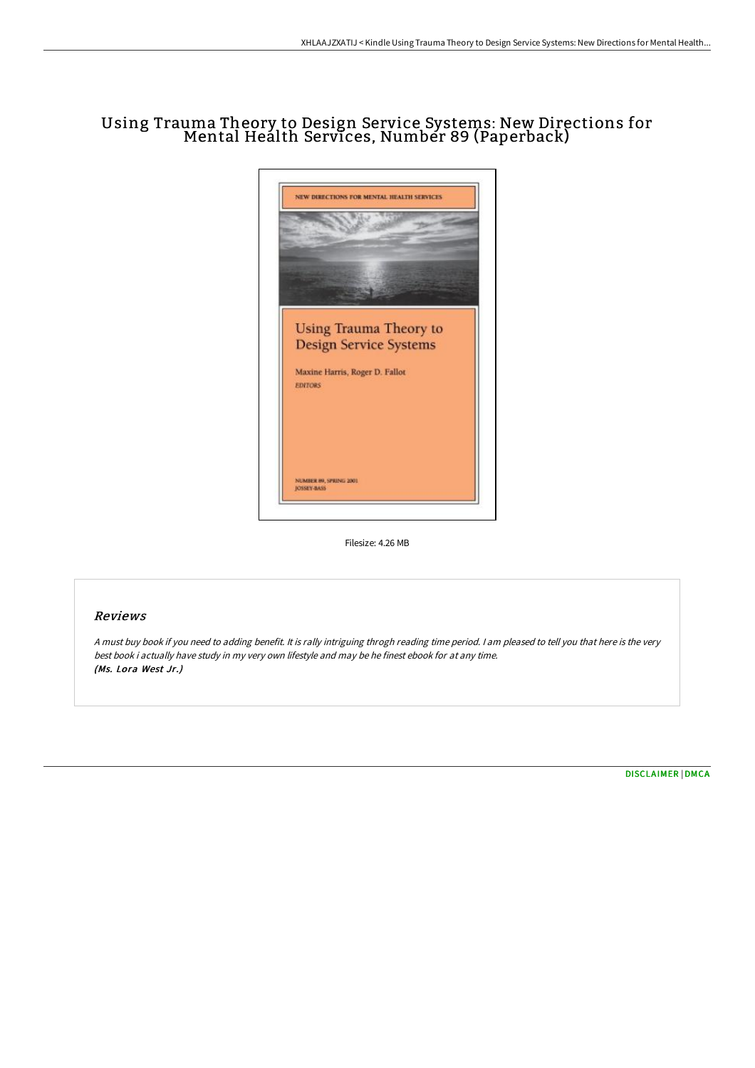# Using Trauma Theory to Design Service Systems: New Directions for Mental Health Services, Number 89 (Paperback)



Filesize: 4.26 MB

## Reviews

<sup>A</sup> must buy book if you need to adding benefit. It is rally intriguing throgh reading time period. <sup>I</sup> am pleased to tell you that here is the very best book i actually have study in my very own lifestyle and may be he finest ebook for at any time. (Ms. Lora West Jr.)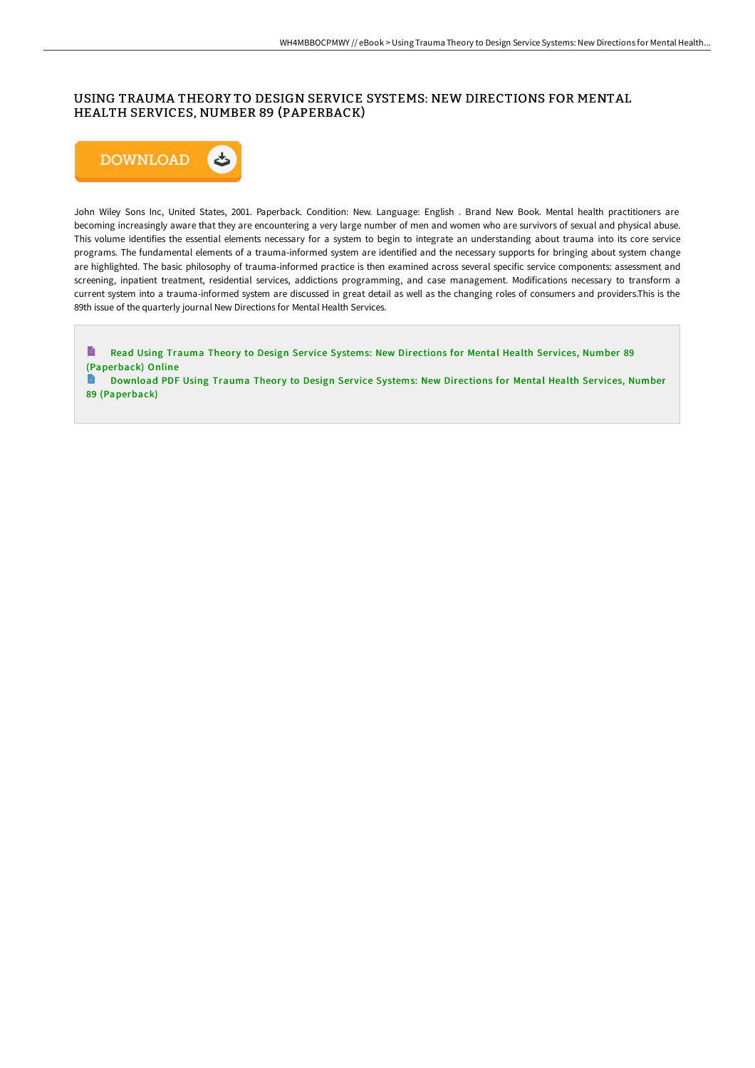## USING TRAUMA THEORY TO DESIGN SERVICE SYSTEMS: NEW DIRECTIONS FOR MENTAL HEALTH SERVICES, NUMBER 89 (PAPERBACK)



John Wiley Sons Inc, United States, 2001. Paperback. Condition: New. Language: English . Brand New Book. Mental health practitioners are becoming increasingly aware that they are encountering a very large number of men and women who are survivors of sexual and physical abuse. This volume identifies the essential elements necessary for a system to begin to integrate an understanding about trauma into its core service programs. The fundamental elements of a trauma-informed system are identified and the necessary supports for bringing about system change are highlighted. The basic philosophy of trauma-informed practice is then examined across several specific service components: assessment and screening, inpatient treatment, residential services, addictions programming, and case management. Modifications necessary to transform a current system into a trauma-informed system are discussed in great detail as well as the changing roles of consumers and providers.This is the 89th issue of the quarterly journal New Directions for Mental Health Services.

Read Using Trauma Theory to Design Service Systems: New Directions for Mental Health Services, Number 89 [\(Paperback\)](http://www.bookdirs.com/using-trauma-theory-to-design-service-systems-ne.html) Online

Download PDF Using Trauma Theory to Design Service Systems: New Directions for Mental Health Services, Number 89 [\(Paperback\)](http://www.bookdirs.com/using-trauma-theory-to-design-service-systems-ne.html)